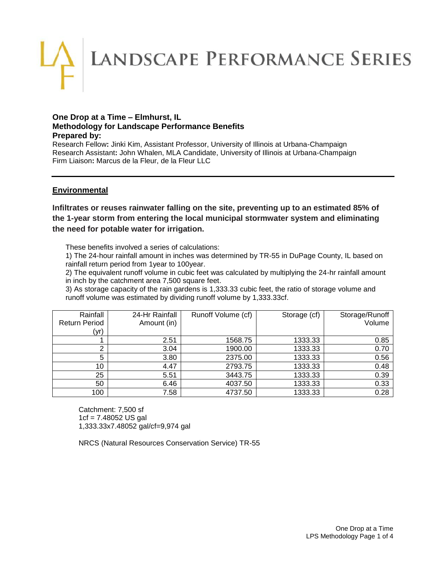# LANDSCAPE PERFORMANCE SERIES

#### **One Drop at a Time – Elmhurst, IL Methodology for Landscape Performance Benefits Prepared by:**

Research Fellow**:** Jinki Kim, Assistant Professor, University of Illinois at Urbana-Champaign Research Assistant**:** John Whalen, MLA Candidate, University of Illinois at Urbana-Champaign Firm Liaison**:** Marcus de la Fleur, de la Fleur LLC

# **Environmental**

**Infiltrates or reuses rainwater falling on the site, preventing up to an estimated 85% of the 1-year storm from entering the local municipal stormwater system and eliminating the need for potable water for irrigation.**

These benefits involved a series of calculations:

1) The 24-hour rainfall amount in inches was determined by TR-55 in DuPage County, IL based on rainfall return period from 1year to 100year.

2) The equivalent runoff volume in cubic feet was calculated by multiplying the 24-hr rainfall amount in inch by the catchment area 7,500 square feet.

3) As storage capacity of the rain gardens is 1,333.33 cubic feet, the ratio of storage volume and runoff volume was estimated by dividing runoff volume by 1,333.33cf.

| Rainfall<br><b>Return Period</b><br>(yr) | 24-Hr Rainfall<br>Amount (in) | Runoff Volume (cf) | Storage (cf) | Storage/Runoff<br>Volume |
|------------------------------------------|-------------------------------|--------------------|--------------|--------------------------|
|                                          | 2.51                          | 1568.75            | 1333.33      | 0.85                     |
| ົ                                        | 3.04                          | 1900.00            | 1333.33      | 0.70                     |
| 5                                        | 3.80                          | 2375.00            | 1333.33      | 0.56                     |
| 10                                       | 4.47                          | 2793.75            | 1333.33      | 0.48                     |
| 25                                       | 5.51                          | 3443.75            | 1333.33      | 0.39                     |
| 50                                       | 6.46                          | 4037.50            | 1333.33      | 0.33                     |
| 100                                      | 7.58                          | 4737.50            | 1333.33      | 0.28                     |

Catchment: 7,500 sf 1cf = 7.48052 US gal 1,333.33x7.48052 gal/cf=9,974 gal

NRCS (Natural Resources Conservation Service) TR-55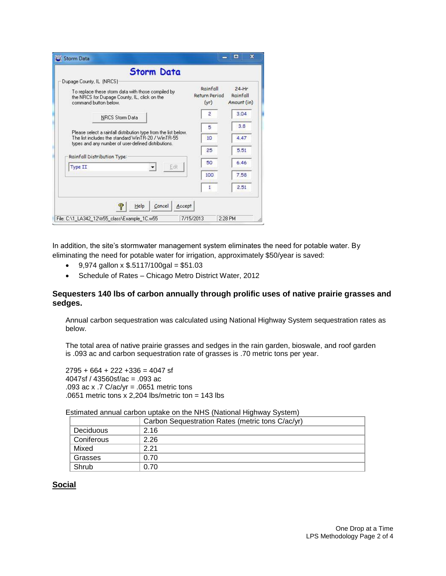| <b>Storm Data</b>                                                                                                                                                            |                                   |                                    |
|------------------------------------------------------------------------------------------------------------------------------------------------------------------------------|-----------------------------------|------------------------------------|
| Dupage County, IL (NRCS)<br>To replace these storm data with those compiled by<br>the NRCS for Dupage County, IL, click on the<br>command button helow.                      | Rainfall<br>Return Period<br>(yr) | $24-Hr$<br>Rainfall<br>Amount (in) |
| <b>NRCS Storm Data</b>                                                                                                                                                       | $\overline{a}$                    | 3.04                               |
|                                                                                                                                                                              | 5                                 | 3.8                                |
| Please select a rainfall distribution type from the list below.<br>The list includes the standard WinTB-20 / WinTB-55<br>types and any number of user-defined distributions. | 10                                | 4.47                               |
|                                                                                                                                                                              | 25                                | 5.51                               |
| Rainfall Distribution Type:<br>Edit<br><b>Type II</b>                                                                                                                        | 50                                | 6.46                               |
|                                                                                                                                                                              | 100                               | 7.58                               |
|                                                                                                                                                                              | 1                                 | 2.51                               |
| P<br>Cancel<br>Help<br>Accept                                                                                                                                                |                                   |                                    |

In addition, the site's stormwater management system eliminates the need for potable water. By eliminating the need for potable water for irrigation, approximately \$50/year is saved:

- $\bullet$  9,974 gallon x \$.5117/100gal = \$51.03
- Schedule of Rates Chicago Metro District Water, 2012

#### **Sequesters 140 lbs of carbon annually through prolific uses of native prairie grasses and sedges.**

Annual carbon sequestration was calculated using National Highway System sequestration rates as below.

The total area of native prairie grasses and sedges in the rain garden, bioswale, and roof garden is .093 ac and carbon sequestration rate of grasses is .70 metric tons per year.

 $2795 + 664 + 222 + 336 = 4047$  sf 4047sf / 43560sf/ac = .093 ac .093 ac x .7 C/ac/yr = .0651 metric tons .0651 metric tons  $x$  2,204 lbs/metric ton = 143 lbs

Estimated annual carbon uptake on the NHS (National Highway System)

|                  | Carbon Sequestration Rates (metric tons C/ac/yr) |  |
|------------------|--------------------------------------------------|--|
| <b>Deciduous</b> | 2.16                                             |  |
| Coniferous       | 2.26                                             |  |
| Mixed            | 2.21                                             |  |
| Grasses          | 0.70                                             |  |
| Shrub            | 0.70                                             |  |

#### **Social**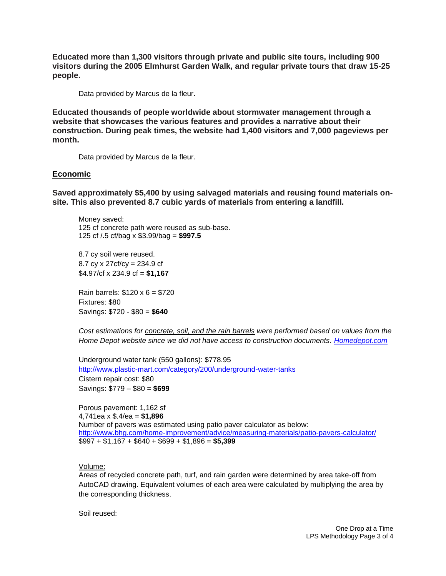**Educated more than 1,300 visitors through private and public site tours, including 900 visitors during the 2005 Elmhurst Garden Walk, and regular private tours that draw 15-25 people.**

Data provided by Marcus de la fleur.

**Educated thousands of people worldwide about stormwater management through a website that showcases the various features and provides a narrative about their construction. During peak times, the website had 1,400 visitors and 7,000 pageviews per month.**

Data provided by Marcus de la fleur.

## **Economic**

**Saved approximately \$5,400 by using salvaged materials and reusing found materials onsite. This also prevented 8.7 cubic yards of materials from entering a landfill.**

Money saved: 125 cf concrete path were reused as sub-base. 125 cf /.5 cf/bag x \$3.99/bag = **\$997.5**

8.7 cy soil were reused. 8.7 cy x 27cf/cy = 234.9 cf \$4.97/cf x 234.9 cf = **\$1,167**

Rain barrels: \$120 x 6 = \$720 Fixtures: \$80 Savings: \$720 - \$80 = **\$640**

*Cost estimations for concrete, soil, and the rain barrels were performed based on values from the Home Depot website since we did not have access to construction documents. [Homedepot.com](http://homedepot.com/)*

Underground water tank (550 gallons): \$778.95 <http://www.plastic-mart.com/category/200/underground-water-tanks> Cistern repair cost: \$80 Savings: \$779 – \$80 = **\$699**

Porous pavement: 1,162 sf 4,741ea x \$.4/ea = **\$1,896** Number of pavers was estimated using patio paver calculator as below: <http://www.bhg.com/home-improvement/advice/measuring-materials/patio-pavers-calculator/> \$997 + \$1,167 + \$640 + \$699 + \$1,896 = **\$5,399**

Volume:

Areas of recycled concrete path, turf, and rain garden were determined by area take-off from AutoCAD drawing. Equivalent volumes of each area were calculated by multiplying the area by the corresponding thickness.

Soil reused: